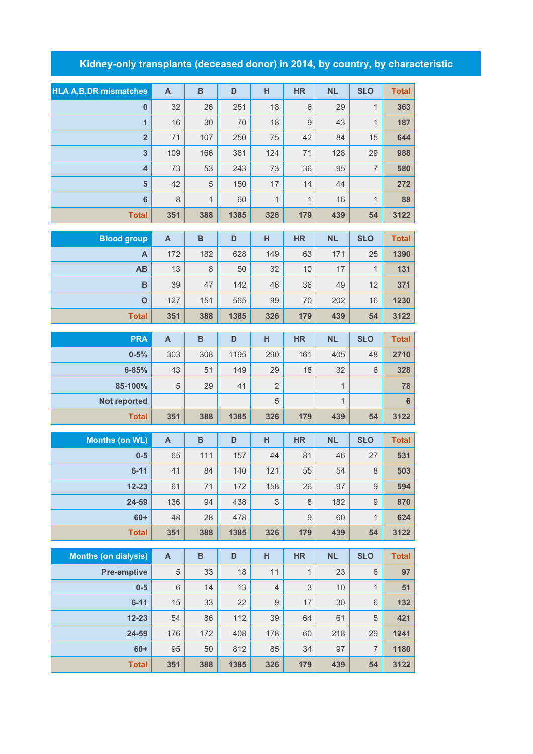## **Kidney-only transplants (deceased donor) in 2014, by country, by characteristic**

| <b>HLA A, B, DR mismatches</b> | $\overline{A}$ | $\mathbf B$  | D    | H                         | <b>HR</b>    | <b>NL</b>    | <b>SLO</b>       | <b>Total</b> |
|--------------------------------|----------------|--------------|------|---------------------------|--------------|--------------|------------------|--------------|
| $\bf{0}$                       | 32             | 26           | 251  | 18                        | 6            | 29           | $\mathbf{1}$     | 363          |
| $\overline{\mathbf{1}}$        | 16             | 30           | 70   | 18                        | $\mathsf 9$  | 43           | $\mathbf{1}$     | 187          |
| $\overline{2}$                 | 71             | 107          | 250  | 75                        | 42           | 84           | 15               | 644          |
| $\mathbf{3}$                   | 109            | 166          | 361  | 124                       | 71           | 128          | 29               | 988          |
| $\overline{4}$                 | 73             | 53           | 243  | 73                        | 36           | 95           | $\overline{7}$   | 580          |
| 5                              | 42             | 5            | 150  | 17                        | 14           | 44           |                  | 272          |
| 6                              | 8              | 1            | 60   | $\mathbf 1$               | $\mathbf{1}$ | 16           | $\mathbf{1}$     | 88           |
| <b>Total</b>                   | 351            | 388          | 1385 | 326                       | 179          | 439          | 54               | 3122         |
| <b>Blood group</b>             | $\mathsf{A}$   | B            | D    | н                         | <b>HR</b>    | <b>NL</b>    | <b>SLO</b>       | <b>Total</b> |
| A                              | 172            | 182          | 628  | 149                       | 63           | 171          | 25               | 1390         |
| <b>AB</b>                      | 13             | 8            | 50   | 32                        | 10           | 17           | $\mathbf{1}$     | 131          |
| B                              | 39             | 47           | 142  | 46                        | 36           | 49           | 12               | 371          |
| $\mathbf{o}$                   | 127            | 151          | 565  | 99                        | 70           | 202          | 16               | 1230         |
| <b>Total</b>                   | 351            | 388          | 1385 | 326                       | 179          | 439          | 54               | 3122         |
|                                |                |              |      |                           |              |              |                  |              |
| <b>PRA</b>                     | A              | $\, {\bf B}$ | D    | н                         | <b>HR</b>    | <b>NL</b>    | <b>SLO</b>       | <b>Total</b> |
| $0 - 5%$                       | 303            | 308          | 1195 | 290                       | 161          | 405          | 48               | 2710         |
| $6 - 85%$                      | 43             | 51           | 149  | 29                        | 18           | 32           | 6                | 328          |
| 85-100%                        | $\sqrt{5}$     | 29           | 41   | $\overline{2}$            |              | $\mathbf{1}$ |                  | 78           |
| Not reported                   |                |              |      | 5                         |              | $\mathbf{1}$ |                  | 6            |
| <b>Total</b>                   | 351            | 388          | 1385 | 326                       | 179          | 439          | 54               | 3122         |
| <b>Months (on WL)</b>          | $\mathsf{A}$   | $\, {\bf B}$ | D    | H                         | <b>HR</b>    | <b>NL</b>    | <b>SLO</b>       | <b>Total</b> |
| $0-5$                          | 65             | 111          | 157  | 44                        | 81           | 46           | 27               | 531          |
| $6 - 11$                       | 41             | 84           | 140  | 121                       | 55           | 54           | 8                | 503          |
| $12 - 23$                      | 61             | 71           | 172  | 158                       | 26           | 97           | $\boldsymbol{9}$ | 594          |
| 24-59                          | 136            | 94           | 438  | $\ensuremath{\mathsf{3}}$ | 8            | 182          | $\hbox{9}$       | 870          |
| $60+$                          | 48             | 28           | 478  |                           | $\hbox{9}$   | 60           | $\mathbf{1}$     | 624          |
| <b>Total</b>                   | 351            | 388          | 1385 | 326                       | 179          | 439          | 54               | 3122         |
| <b>Months (on dialysis)</b>    | $\mathsf{A}$   | $\, {\bf B}$ | D    | н                         | <b>HR</b>    | <b>NL</b>    | <b>SLO</b>       | <b>Total</b> |
| <b>Pre-emptive</b>             | 5              | 33           | 18   | 11                        | $\mathbf{1}$ | 23           | 6                | 97           |
| $0-5$                          | $6\,$          | 14           | 13   | $\overline{4}$            | 3            | 10           | $\overline{1}$   | 51           |
| $6 - 11$                       | 15             | 33           | 22   | $\mathsf 9$               | 17           | 30           | 6                | 132          |
| $12 - 23$                      | 54             | 86           | 112  | 39                        | 64           | 61           | 5                | 421          |
| 24-59                          | 176            | 172          | 408  | 178                       | 60           | 218          | 29               | 1241         |

**60+** 95 50 812 85 34 97 7 **1180 Total 351 388 1385 326 179 439 54 3122**